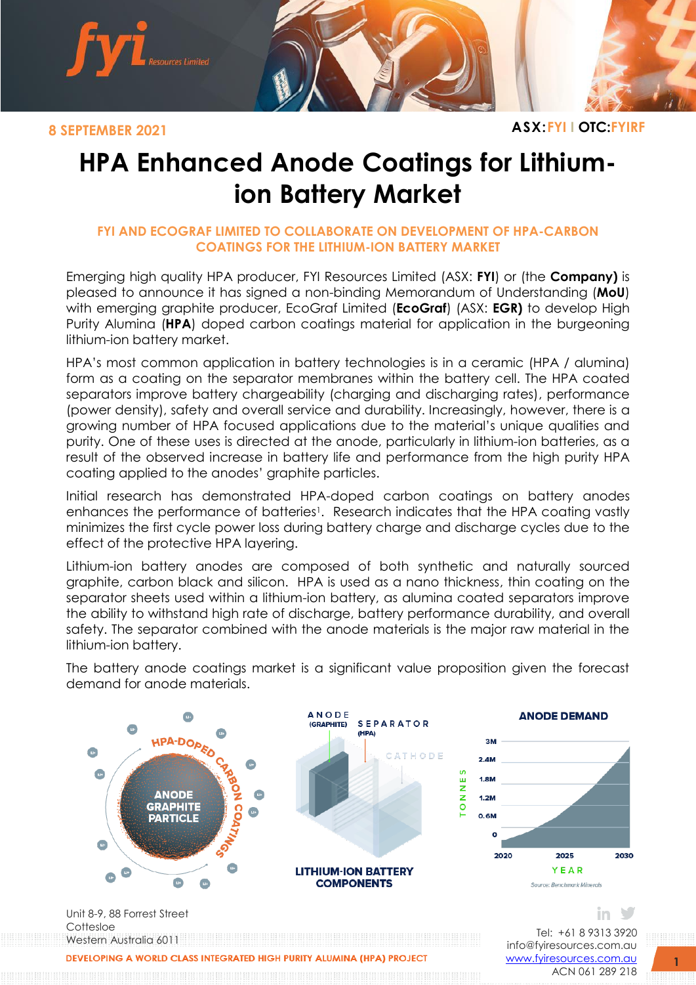

**8 SEPTEMBER 2021 ASX:FYI I OTC:FYIRF**

## **HPA Enhanced Anode Coatings for Lithiumion Battery Market**

## **FYI AND ECOGRAF LIMITED TO COLLABORATE ON DEVELOPMENT OF HPA-CARBON COATINGS FOR THE LITHIUM-ION BATTERY MARKET**

Emerging high quality HPA producer, FYI Resources Limited (ASX: **FYI**) or (the **Company)** is pleased to announce it has signed a non-binding Memorandum of Understanding (**MoU**) with emerging graphite producer, EcoGraf Limited (**EcoGraf**) (ASX: **EGR)** to develop High Purity Alumina (**HPA**) doped carbon coatings material for application in the burgeoning lithium-ion battery market.

HPA's most common application in battery technologies is in a ceramic (HPA / alumina) form as a coating on the separator membranes within the battery cell. The HPA coated separators improve battery chargeability (charging and discharging rates), performance (power density), safety and overall service and durability. Increasingly, however, there is a growing number of HPA focused applications due to the material's unique qualities and purity. One of these uses is directed at the anode, particularly in lithium-ion batteries, as a result of the observed increase in battery life and performance from the high purity HPA coating applied to the anodes' graphite particles.

Initial research has demonstrated HPA-doped carbon coatings on battery anodes enhances the performance of batteries<sup>1</sup>. Research indicates that the HPA coating vastly minimizes the first cycle power loss during battery charge and discharge cycles due to the effect of the protective HPA layering.

Lithium-ion battery anodes are composed of both synthetic and naturally sourced graphite, carbon black and silicon. HPA is used as a nano thickness, thin coating on the separator sheets used within a lithium-ion battery, as alumina coated separators improve the ability to withstand high rate of discharge, battery performance durability, and overall safety. The separator combined with the anode materials is the major raw material in the lithium-ion battery.

The battery anode coatings market is a significant value proposition given the forecast demand for anode materials.



ACN 061 289 218

**1**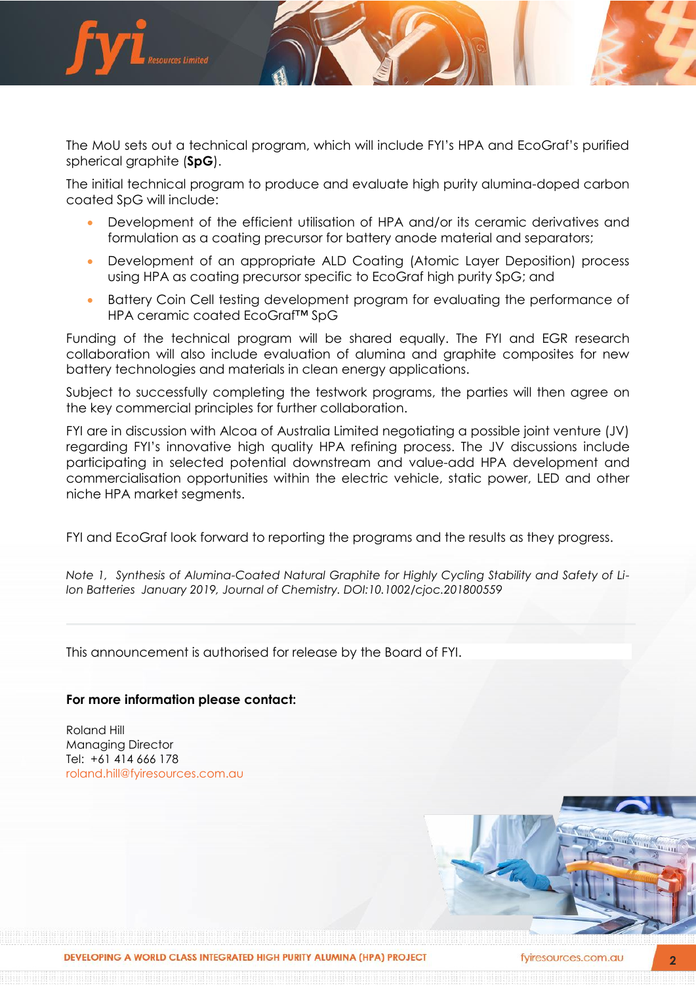

The MoU sets out a technical program, which will include FYI's HPA and EcoGraf's purified spherical graphite (**SpG**).

The initial technical program to produce and evaluate high purity alumina-doped carbon coated SpG will include:

- Development of the efficient utilisation of HPA and/or its ceramic derivatives and formulation as a coating precursor for battery anode material and separators;
- Development of an appropriate ALD Coating (Atomic Layer Deposition) process using HPA as coating precursor specific to EcoGraf high purity SpG; and
- Battery Coin Cell testing development program for evaluating the performance of HPA ceramic coated EcoGraf™ SpG

Funding of the technical program will be shared equally. The FYI and EGR research collaboration will also include evaluation of alumina and graphite composites for new battery technologies and materials in clean energy applications.

Subject to successfully completing the testwork programs, the parties will then agree on the key commercial principles for further collaboration.

FYI are in discussion with Alcoa of Australia Limited negotiating a possible joint venture (JV) regarding FYI's innovative high quality HPA refining process. The JV discussions include participating in selected potential downstream and value-add HPA development and commercialisation opportunities within the electric vehicle, static power, LED and other niche HPA market segments.

FYI and EcoGraf look forward to reporting the programs and the results as they progress.

*Note 1, Synthesis of Alumina-Coated Natural Graphite for Highly Cycling Stability and Safety of Li-Ion Batteries January 2019, Journal of Chemistry. DOI:10.1002/cjoc.201800559*

This announcement is authorised for release by the Board of FYI.

## **For more information please contact:**

Roland Hill Managing Director Tel: +61 414 666 178 [roland.hill@fyiresources.com.au](mailto:roland.hill@fyiresources.com.au)